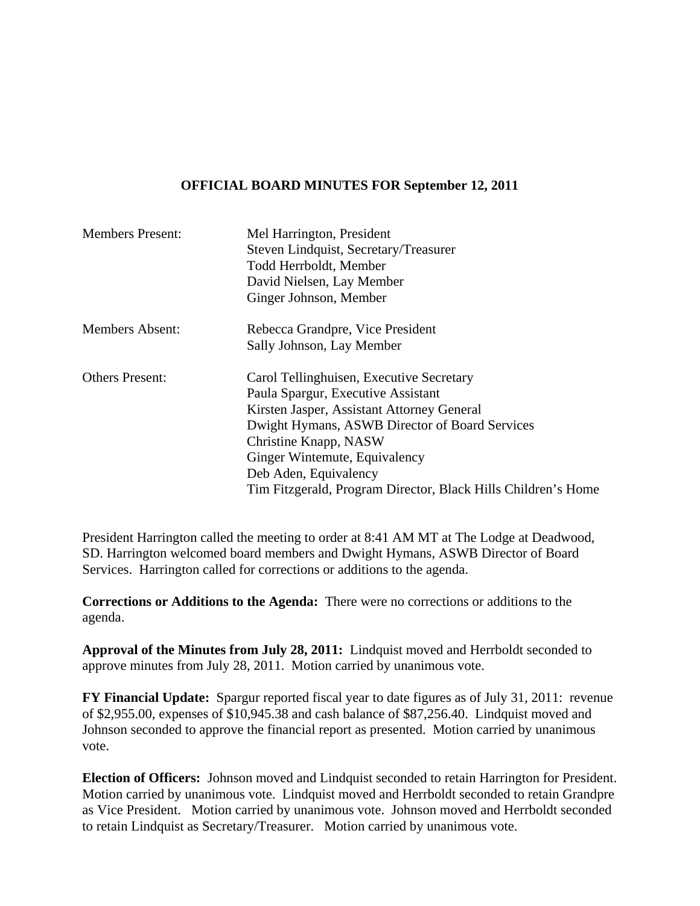## **OFFICIAL BOARD MINUTES FOR September 12, 2011**

| <b>Members Present:</b> | Mel Harrington, President<br>Steven Lindquist, Secretary/Treasurer<br>Todd Herrboldt, Member<br>David Nielsen, Lay Member                                                                                                                                                                                                          |
|-------------------------|------------------------------------------------------------------------------------------------------------------------------------------------------------------------------------------------------------------------------------------------------------------------------------------------------------------------------------|
|                         | Ginger Johnson, Member                                                                                                                                                                                                                                                                                                             |
| <b>Members Absent:</b>  | Rebecca Grandpre, Vice President<br>Sally Johnson, Lay Member                                                                                                                                                                                                                                                                      |
| <b>Others Present:</b>  | Carol Tellinghuisen, Executive Secretary<br>Paula Spargur, Executive Assistant<br>Kirsten Jasper, Assistant Attorney General<br>Dwight Hymans, ASWB Director of Board Services<br>Christine Knapp, NASW<br>Ginger Wintemute, Equivalency<br>Deb Aden, Equivalency<br>Tim Fitzgerald, Program Director, Black Hills Children's Home |

President Harrington called the meeting to order at 8:41 AM MT at The Lodge at Deadwood, SD. Harrington welcomed board members and Dwight Hymans, ASWB Director of Board Services. Harrington called for corrections or additions to the agenda.

**Corrections or Additions to the Agenda:** There were no corrections or additions to the agenda.

**Approval of the Minutes from July 28, 2011:** Lindquist moved and Herrboldt seconded to approve minutes from July 28, 2011. Motion carried by unanimous vote.

**FY Financial Update:** Spargur reported fiscal year to date figures as of July 31, 2011: revenue of \$2,955.00, expenses of \$10,945.38 and cash balance of \$87,256.40. Lindquist moved and Johnson seconded to approve the financial report as presented. Motion carried by unanimous vote.

**Election of Officers:** Johnson moved and Lindquist seconded to retain Harrington for President. Motion carried by unanimous vote. Lindquist moved and Herrboldt seconded to retain Grandpre as Vice President. Motion carried by unanimous vote. Johnson moved and Herrboldt seconded to retain Lindquist as Secretary/Treasurer. Motion carried by unanimous vote.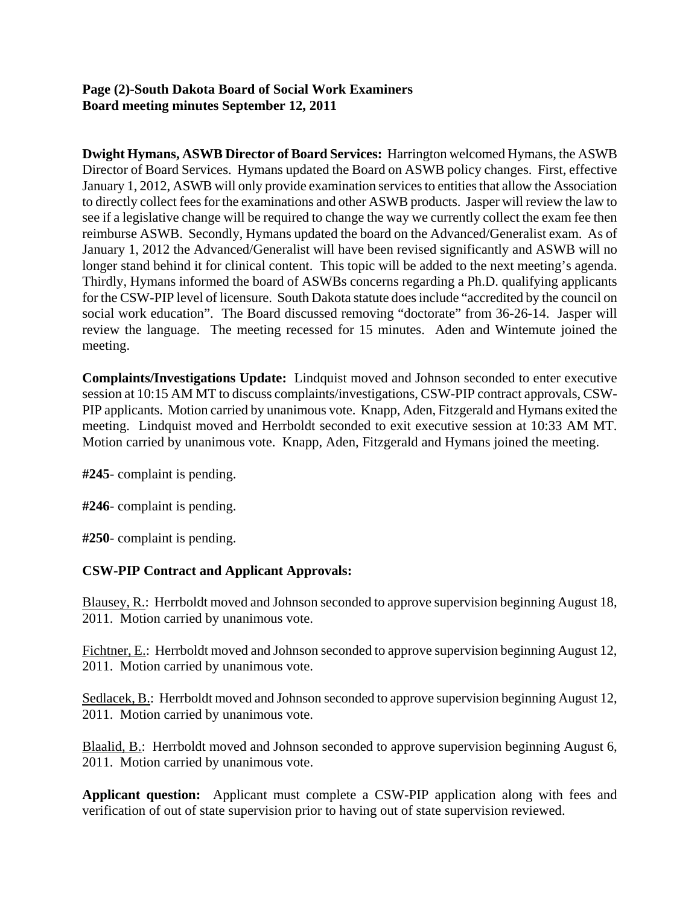## **Page (2)-South Dakota Board of Social Work Examiners Board meeting minutes September 12, 2011**

**Dwight Hymans, ASWB Director of Board Services:** Harrington welcomed Hymans, the ASWB Director of Board Services. Hymans updated the Board on ASWB policy changes. First, effective January 1, 2012, ASWB will only provide examination services to entities that allow the Association to directly collect fees for the examinations and other ASWB products. Jasper will review the law to see if a legislative change will be required to change the way we currently collect the exam fee then reimburse ASWB. Secondly, Hymans updated the board on the Advanced/Generalist exam. As of January 1, 2012 the Advanced/Generalist will have been revised significantly and ASWB will no longer stand behind it for clinical content. This topic will be added to the next meeting's agenda. Thirdly, Hymans informed the board of ASWBs concerns regarding a Ph.D. qualifying applicants for the CSW-PIP level of licensure. South Dakota statute does include "accredited by the council on social work education". The Board discussed removing "doctorate" from 36-26-14. Jasper will review the language. The meeting recessed for 15 minutes. Aden and Wintemute joined the meeting.

**Complaints/Investigations Update:** Lindquist moved and Johnson seconded to enter executive session at 10:15 AM MT to discuss complaints/investigations, CSW-PIP contract approvals, CSW-PIP applicants. Motion carried by unanimous vote. Knapp, Aden, Fitzgerald and Hymans exited the meeting. Lindquist moved and Herrboldt seconded to exit executive session at 10:33 AM MT. Motion carried by unanimous vote. Knapp, Aden, Fitzgerald and Hymans joined the meeting.

**#245**- complaint is pending.

**#246**- complaint is pending.

**#250**- complaint is pending.

# **CSW-PIP Contract and Applicant Approvals:**

Blausey, R.: Herrboldt moved and Johnson seconded to approve supervision beginning August 18, 2011. Motion carried by unanimous vote.

Fichtner, E.: Herrboldt moved and Johnson seconded to approve supervision beginning August 12, 2011. Motion carried by unanimous vote.

Sedlacek, B.: Herrboldt moved and Johnson seconded to approve supervision beginning August 12, 2011. Motion carried by unanimous vote.

Blaalid, B.: Herrboldt moved and Johnson seconded to approve supervision beginning August 6, 2011. Motion carried by unanimous vote.

**Applicant question:** Applicant must complete a CSW-PIP application along with fees and verification of out of state supervision prior to having out of state supervision reviewed.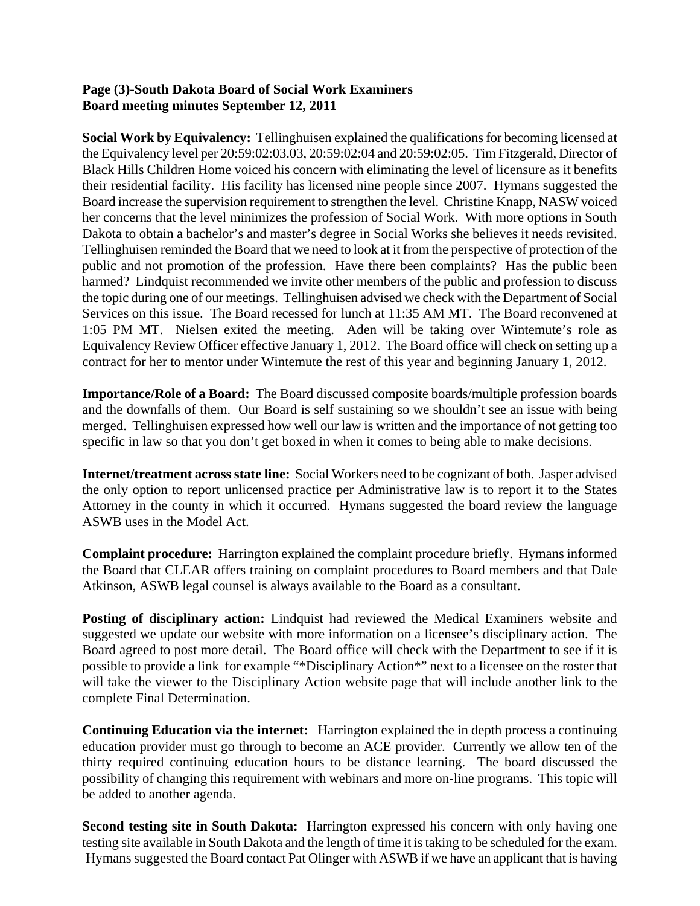### **Page (3)-South Dakota Board of Social Work Examiners Board meeting minutes September 12, 2011**

**Social Work by Equivalency:** Tellinghuisen explained the qualifications for becoming licensed at the Equivalency level per 20:59:02:03.03, 20:59:02:04 and 20:59:02:05. Tim Fitzgerald, Director of Black Hills Children Home voiced his concern with eliminating the level of licensure as it benefits their residential facility. His facility has licensed nine people since 2007. Hymans suggested the Board increase the supervision requirement to strengthen the level. Christine Knapp, NASW voiced her concerns that the level minimizes the profession of Social Work. With more options in South Dakota to obtain a bachelor's and master's degree in Social Works she believes it needs revisited. Tellinghuisen reminded the Board that we need to look at it from the perspective of protection of the public and not promotion of the profession. Have there been complaints? Has the public been harmed? Lindquist recommended we invite other members of the public and profession to discuss the topic during one of our meetings. Tellinghuisen advised we check with the Department of Social Services on this issue. The Board recessed for lunch at 11:35 AM MT. The Board reconvened at 1:05 PM MT. Nielsen exited the meeting. Aden will be taking over Wintemute's role as Equivalency Review Officer effective January 1, 2012. The Board office will check on setting up a contract for her to mentor under Wintemute the rest of this year and beginning January 1, 2012.

**Importance/Role of a Board:** The Board discussed composite boards/multiple profession boards and the downfalls of them. Our Board is self sustaining so we shouldn't see an issue with being merged. Tellinghuisen expressed how well our law is written and the importance of not getting too specific in law so that you don't get boxed in when it comes to being able to make decisions.

**Internet/treatment across state line:** Social Workers need to be cognizant of both. Jasper advised the only option to report unlicensed practice per Administrative law is to report it to the States Attorney in the county in which it occurred. Hymans suggested the board review the language ASWB uses in the Model Act.

**Complaint procedure:** Harrington explained the complaint procedure briefly. Hymans informed the Board that CLEAR offers training on complaint procedures to Board members and that Dale Atkinson, ASWB legal counsel is always available to the Board as a consultant.

**Posting of disciplinary action:** Lindquist had reviewed the Medical Examiners website and suggested we update our website with more information on a licensee's disciplinary action. The Board agreed to post more detail. The Board office will check with the Department to see if it is possible to provide a link for example "\*Disciplinary Action\*" next to a licensee on the roster that will take the viewer to the Disciplinary Action website page that will include another link to the complete Final Determination.

**Continuing Education via the internet:** Harrington explained the in depth process a continuing education provider must go through to become an ACE provider. Currently we allow ten of the thirty required continuing education hours to be distance learning. The board discussed the possibility of changing this requirement with webinars and more on-line programs. This topic will be added to another agenda.

**Second testing site in South Dakota:** Harrington expressed his concern with only having one testing site available in South Dakota and the length of time it is taking to be scheduled for the exam. Hymans suggested the Board contact Pat Olinger with ASWB if we have an applicant that is having